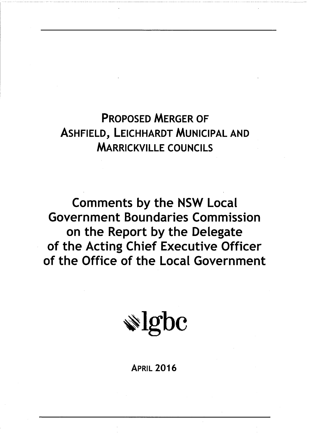**PROPOSED MERGER OF ASHFIELD, LEICHHARDT MUNICIPAL AND MARRICKVILLE COUNCILS** 

**Comments by the NSW Local Government Boundaries Commission** on the Report by the Delegate of the Acting Chief Executive Officer of the Office of the Local Government

 $\triangle$  lgbc

**APRIL 2016**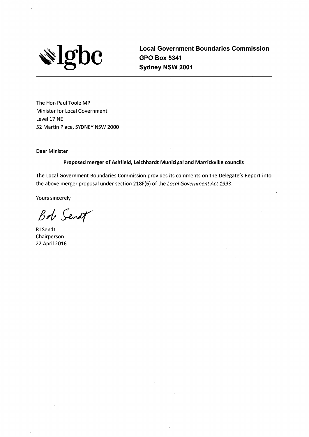$\overline{\textbf{0}}\textbf{c}$ IO'

**Local Government Boundaries Commission GPO Box 5341** Sydney NSW 2001

The Hon Paul Toole MP Minister for Local Government Level 17 NE 52 Martin Place, SYDNEY NSW 2000

**Dear Minister** 

Proposed merger of Ashfield, Leichhardt Municipal and Marrickville councils

The Local Government Boundaries Commission provides its comments on the Delegate's Report into the above merger proposal under section 218F(6) of the Local Government Act 1993.

**Yours sincerely** 

Bob Sendt

**RJ** Sendt Chairperson 22 April 2016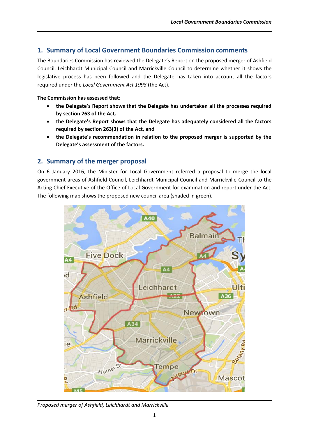# **1. Summary of Local Government Boundaries Commission comments**

The Boundaries Commission has reviewed the Delegate's Report on the proposed merger of Ashfield Council, Leichhardt Municipal Council and Marrickville Council to determine whether it shows the legislative process has been followed and the Delegate has taken into account all the factors required under the *Local Government Act 1993* (the Act).

#### **The Commission has assessed that:**

- **the Delegate's Report shows that the Delegate has undertaken all the processes required by section 263 of the Act***,*
- **the Delegate's Report shows that the Delegate has adequately considered all the factors required by section 263(3) of the Act, and**
- **the Delegate's recommendation in relation to the proposed merger is supported by the Delegate's assessment of the factors.**

# **2. Summary of the merger proposal**

On 6 January 2016, the Minister for Local Government referred a proposal to merge the local government areas of Ashfield Council, Leichhardt Municipal Council and Marrickville Council to the Acting Chief Executive of the Office of Local Government for examination and report under the Act. The following map shows the proposed new council area (shaded in green).



*Proposed merger of Ashfield, Leichhardt and Marrickville*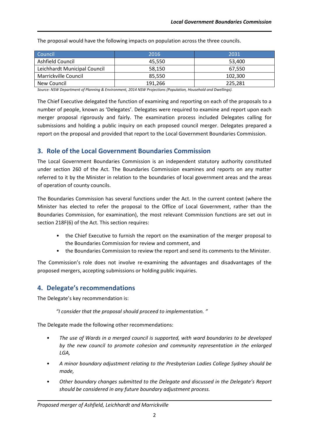| Council                      | 2016    | 2031    |
|------------------------------|---------|---------|
| Ashfield Council             | 45,550  | 53,400  |
| Leichhardt Municipal Council | 58,150  | 67.550  |
| Marrickville Council         | 85.550  | 102.300 |
| New Council                  | 191.266 | 225.281 |

The proposal would have the following impacts on population across the three councils.

*Source: NSW Department of Planning & Environment, 2014 NSW Projections (Population, Household and Dwellings).*

The Chief Executive delegated the function of examining and reporting on each of the proposals to a number of people, known as 'Delegates'. Delegates were required to examine and report upon each merger proposal rigorously and fairly. The examination process included Delegates calling for submissions and holding a public inquiry on each proposed council merger. Delegates prepared a report on the proposal and provided that report to the Local Government Boundaries Commission.

### **3. Role of the Local Government Boundaries Commission**

The Local Government Boundaries Commission is an independent statutory authority constituted under section 260 of the Act. The Boundaries Commission examines and reports on any matter referred to it by the Minister in relation to the boundaries of local government areas and the areas of operation of county councils.

The Boundaries Commission has several functions under the Act. In the current context (where the Minister has elected to refer the proposal to the Office of Local Government, rather than the Boundaries Commission, for examination), the most relevant Commission functions are set out in section 218F(6) of the Act. This section requires:

- the Chief Executive to furnish the report on the examination of the merger proposal to the Boundaries Commission for review and comment, and
- the Boundaries Commission to review the report and send its comments to the Minister.

The Commission's role does not involve re-examining the advantages and disadvantages of the proposed mergers, accepting submissions or holding public inquiries.

# **4. Delegate's recommendations**

The Delegate's key recommendation is:

*"I consider that the proposal should proceed to implementation. "*

The Delegate made the following other recommendations:

- *The use of Wards in a merged council is supported, with ward boundaries to be developed by the new council to promote cohesion and community representation in the enlarged LGA,*
- *A minor boundary adjustment relating to the Presbyterian Ladies College Sydney should be made,*
- *Other boundary changes submitted to the Delegate and discussed in the Delegate's Report should be considered in any future boundary adjustment process.*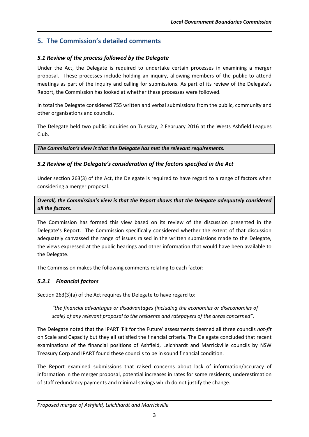# **5. The Commission's detailed comments**

# *5.1 Review of the process followed by the Delegate*

Under the Act, the Delegate is required to undertake certain processes in examining a merger proposal. These processes include holding an inquiry, allowing members of the public to attend meetings as part of the inquiry and calling for submissions. As part of its review of the Delegate's Report, the Commission has looked at whether these processes were followed.

In total the Delegate considered 755 written and verbal submissions from the public, community and other organisations and councils.

The Delegate held two public inquiries on Tuesday, 2 February 2016 at the Wests Ashfield Leagues Club.

*The Commission's view is that the Delegate has met the relevant requirements.*

### *5.2 Review of the Delegate's consideration of the factors specified in the Act*

Under section 263(3) of the Act, the Delegate is required to have regard to a range of factors when considering a merger proposal.

*Overall, the Commission's view is that the Report shows that the Delegate adequately considered all the factors.*

The Commission has formed this view based on its review of the discussion presented in the Delegate's Report. The Commission specifically considered whether the extent of that discussion adequately canvassed the range of issues raised in the written submissions made to the Delegate, the views expressed at the public hearings and other information that would have been available to the Delegate.

The Commission makes the following comments relating to each factor:

# *5.2.1 Financial factors*

Section 263(3)(a) of the Act requires the Delegate to have regard to:

*"the financial advantages or disadvantages (including the economies or diseconomies of scale) of any relevant proposal to the residents and ratepayers of the areas concerned".*

The Delegate noted that the IPART 'Fit for the Future' assessments deemed all three councils *not-fit* on Scale and Capacity but they all satisfied the financial criteria. The Delegate concluded that recent examinations of the financial positions of Ashfield, Leichhardt and Marrickville councils by NSW Treasury Corp and IPART found these councils to be in sound financial condition.

The Report examined submissions that raised concerns about lack of information/accuracy of information in the merger proposal, potential increases in rates for some residents, underestimation of staff redundancy payments and minimal savings which do not justify the change.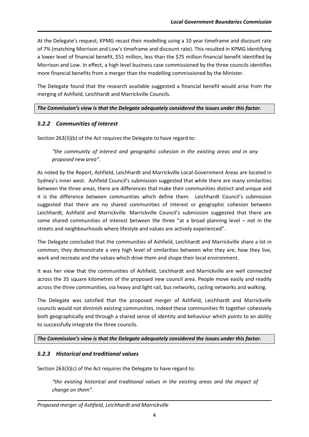At the Delegate's request, KPMG recast their modelling using a 10 year timeframe and discount rate of 7% (matching Morrison and Low's timeframe and discount rate). This resulted in KPMG identifying a lower level of financial benefit, \$51 million, less than the \$75 million financial benefit identified by Morrison and Low. In effect, a high level business case commissioned by the three councils identifies more financial benefits from a merger than the modelling commissioned by the Minister.

The Delegate found that the research available suggested a financial benefit would arise from the merging of Ashfield, Leichhardt and Marrickville Councils.

*The Commission's view is that the Delegate adequately considered the issues under this factor.* 

### *5.2.2 Communities of interest*

Section 263(3)(b) of the Act requires the Delegate to have regard to:

*"the community of interest and geographic cohesion in the existing areas and in any proposed new area".*

As noted by the Report, Ashfield, Leichhardt and Marrickville Local Government Areas are located in Sydney's inner west. Ashfield Council's submission suggested that while there are many similarities between the three areas, there are differences that make their communities distinct and unique and it is the difference between communities which define them. Leichhardt Council's submission suggested that there are no shared communities of interest or geographic cohesion between Leichhardt, Ashfield and Marrickville. Marrickville Council's submission suggested that there are some shared communities of interest between the three "at a broad planning level – not in the streets and neighbourhoods where lifestyle and values are actively experienced".

The Delegate concluded that the communities of Ashfield, Leichhardt and Marrickville share a lot in common; they demonstrate a very high level of similarities between who they are, how they live, work and recreate and the values which drive them and shape their local environment.

It was her view that the communities of Ashfield, Leichhardt and Marrickville are well connected across the 35 square kilometres of the proposed new council area. People move easily and readily across the three communities, via heavy and light rail, bus networks, cycling networks and walking.

The Delegate was satisfied that the proposed merger of Ashfield, Leichhardt and Marrickville councils would not diminish existing communities, indeed these communities fit together cohesively both geographically and through a shared sense of identity and behaviour which points to an ability to successfully integrate the three councils.

*The Commission's view is that the Delegate adequately considered the issues under this factor.* 

### *5.2.3 Historical and traditional values*

Section 263(3)(c) of the Act requires the Delegate to have regard to:

*"the existing historical and traditional values in the existing areas and the impact of change on them".*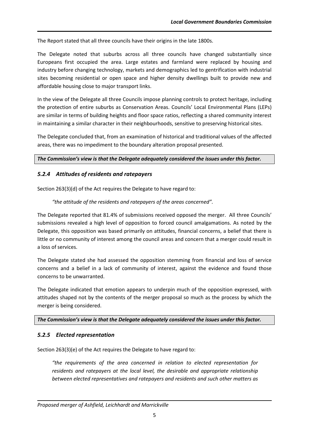The Report stated that all three councils have their origins in the late 1800s.

The Delegate noted that suburbs across all three councils have changed substantially since Europeans first occupied the area. Large estates and farmland were replaced by housing and industry before changing technology, markets and demographics led to gentrification with industrial sites becoming residential or open space and higher density dwellings built to provide new and affordable housing close to major transport links.

In the view of the Delegate all three Councils impose planning controls to protect heritage, including the protection of entire suburbs as Conservation Areas. Councils' Local Environmental Plans (LEPs) are similar in terms of building heights and floor space ratios, reflecting a shared community interest in maintaining a similar character in their neighbourhoods, sensitive to preserving historical sites.

The Delegate concluded that, from an examination of historical and traditional values of the affected areas, there was no impediment to the boundary alteration proposal presented.

*The Commission's view is that the Delegate adequately considered the issues under this factor.* 

### *5.2.4 Attitudes of residents and ratepayers*

Section 263(3)(d) of the Act requires the Delegate to have regard to:

#### *"the attitude of the residents and ratepayers of the areas concerned".*

The Delegate reported that 81.4% of submissions received opposed the merger. All three Councils' submissions revealed a high level of opposition to forced council amalgamations. As noted by the Delegate, this opposition was based primarily on attitudes, financial concerns, a belief that there is little or no community of interest among the council areas and concern that a merger could result in a loss of services.

The Delegate stated she had assessed the opposition stemming from financial and loss of service concerns and a belief in a lack of community of interest, against the evidence and found those concerns to be unwarranted.

The Delegate indicated that emotion appears to underpin much of the opposition expressed, with attitudes shaped not by the contents of the merger proposal so much as the process by which the merger is being considered.

#### *The Commission's view is that the Delegate adequately considered the issues under this factor.*

#### *5.2.5 Elected representation*

Section 263(3)(e) of the Act requires the Delegate to have regard to:

*"the requirements of the area concerned in relation to elected representation for residents and ratepayers at the local level, the desirable and appropriate relationship between elected representatives and ratepayers and residents and such other matters as*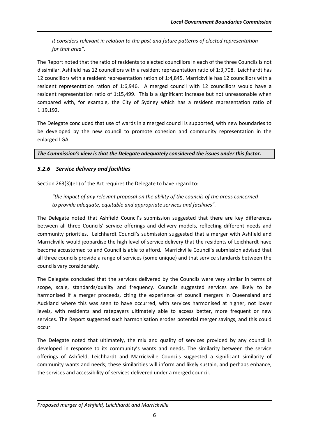*it considers relevant in relation to the past and future patterns of elected representation for that area".*

The Report noted that the ratio of residents to elected councillors in each of the three Councils is not dissimilar. Ashfield has 12 councillors with a resident representation ratio of 1:3,708. Leichhardt has 12 councillors with a resident representation ration of 1:4,845. Marrickville has 12 councillors with a resident representation ration of 1:6,946. A merged council with 12 councillors would have a resident representation ratio of 1:15,499. This is a significant increase but not unreasonable when compared with, for example, the City of Sydney which has a resident representation ratio of 1:19,192.

The Delegate concluded that use of wards in a merged council is supported, with new boundaries to be developed by the new council to promote cohesion and community representation in the enlarged LGA.

*The Commission's view is that the Delegate adequately considered the issues under this factor.* 

# *5.2.6 Service delivery and facilities*

Section 263(3)(e1) of the Act requires the Delegate to have regard to:

*"the impact of any relevant proposal on the ability of the councils of the areas concerned to provide adequate, equitable and appropriate services and facilities".*

The Delegate noted that Ashfield Council's submission suggested that there are key differences between all three Councils' service offerings and delivery models, reflecting different needs and community priorities. Leichhardt Council's submission suggested that a merger with Ashfield and Marrickville would jeopardise the high level of service delivery that the residents of Leichhardt have become accustomed to and Council is able to afford. Marrickville Council's submission advised that all three councils provide a range of services (some unique) and that service standards between the councils vary considerably.

The Delegate concluded that the services delivered by the Councils were very similar in terms of scope, scale, standards/quality and frequency. Councils suggested services are likely to be harmonised if a merger proceeds, citing the experience of council mergers in Queensland and Auckland where this was seen to have occurred, with services harmonised at higher, not lower levels, with residents and ratepayers ultimately able to access better, more frequent or new services. The Report suggested such harmonisation erodes potential merger savings, and this could occur.

The Delegate noted that ultimately, the mix and quality of services provided by any council is developed in response to its community's wants and needs. The similarity between the service offerings of Ashfield, Leichhardt and Marrickville Councils suggested a significant similarity of community wants and needs; these similarities will inform and likely sustain, and perhaps enhance, the services and accessibility of services delivered under a merged council.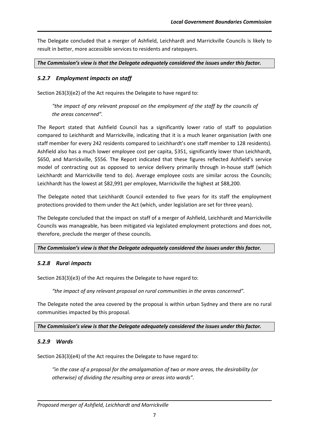The Delegate concluded that a merger of Ashfield, Leichhardt and Marrickville Councils is likely to result in better, more accessible services to residents and ratepayers.

*The Commission's view is that the Delegate adequately considered the issues under this factor.* 

### *5.2.7 Employment impacts on staff*

Section 263(3)(e2) of the Act requires the Delegate to have regard to:

*"the impact of any relevant proposal on the employment of the staff by the councils of the areas concerned".*

The Report stated that Ashfield Council has a significantly lower ratio of staff to population compared to Leichhardt and Marrickville, indicating that it is a much leaner organisation (with one staff member for every 242 residents compared to Leichhardt's one staff member to 128 residents). Ashfield also has a much lower employee cost per capita, \$351, significantly lower than Leichhardt, \$650, and Marrickville, \$556. The Report indicated that these figures reflected Ashfield's service model of contracting out as opposed to service delivery primarily through in-house staff (which Leichhardt and Marrickville tend to do). Average employee costs are similar across the Councils; Leichhardt has the lowest at \$82,991 per employee, Marrickville the highest at \$88,200.

The Delegate noted that Leichhardt Council extended to five years for its staff the employment protections provided to them under the Act (which, under legislation are set for three years).

The Delegate concluded that the impact on staff of a merger of Ashfield, Leichhardt and Marrickville Councils was manageable, has been mitigated via legislated employment protections and does not, therefore, preclude the merger of these councils.

#### *The Commission's view is that the Delegate adequately considered the issues under this factor.*

### *5.2.8 Rura*l *impacts*

Section 263(3)(e3) of the Act requires the Delegate to have regard to:

*"the impact of any relevant proposal on rural communities in the areas concerned".*

The Delegate noted the area covered by the proposal is within urban Sydney and there are no rural communities impacted by this proposal.

*The Commission's view is that the Delegate adequately considered the issues under this factor.* 

#### *5.2.9 Wards*

Section 263(3)(e4) of the Act requires the Delegate to have regard to:

*"in the case of a proposal for the amalgamation of two or more areas, the desirability (or otherwise) of dividing the resulting area or areas into wards".*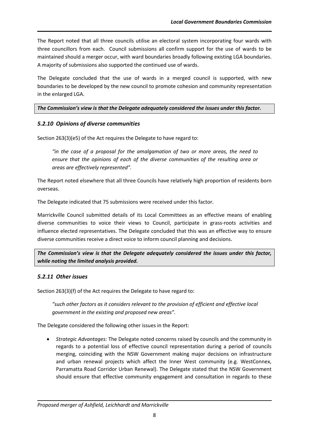The Report noted that all three councils utilise an electoral system incorporating four wards with three councillors from each. Council submissions all confirm support for the use of wards to be maintained should a merger occur, with ward boundaries broadly following existing LGA boundaries. A majority of submissions also supported the continued use of wards.

The Delegate concluded that the use of wards in a merged council is supported, with new boundaries to be developed by the new council to promote cohesion and community representation in the enlarged LGA.

*The Commission's view is that the Delegate adequately considered the issues under this factor.* 

### *5.2.10 Opinions of diverse communities*

Section 263(3)(e5) of the Act requires the Delegate to have regard to:

*"in the case of a proposal for the amalgamation of two or more areas, the need to ensure that the opinions of each of the diverse communities of the resulting area or areas are effectively represented".*

The Report noted elsewhere that all three Councils have relatively high proportion of residents born overseas.

The Delegate indicated that 75 submissions were received under this factor.

Marrickville Council submitted details of its Local Committees as an effective means of enabling diverse communities to voice their views to Council, participate in grass-roots activities and influence elected representatives. The Delegate concluded that this was an effective way to ensure diverse communities receive a direct voice to inform council planning and decisions.

*The Commission's view is that the Delegate adequately considered the issues under this factor, while noting the limited analysis provided.*

#### *5.2.11 Other issues*

Section 263(3)(f) of the Act requires the Delegate to have regard to:

*"such other factors as it considers relevant to the provision of efficient and effective local government in the existing and proposed new areas".*

The Delegate considered the following other issues in the Report:

 *Strategic Advantages:* The Delegate noted concerns raised by councils and the community in regards to a potential loss of effective council representation during a period of councils merging, coinciding with the NSW Government making major decisions on infrastructure and urban renewal projects which affect the Inner West community (e.g. WestConnex, Parramatta Road Corridor Urban Renewal). The Delegate stated that the NSW Government should ensure that effective community engagement and consultation in regards to these